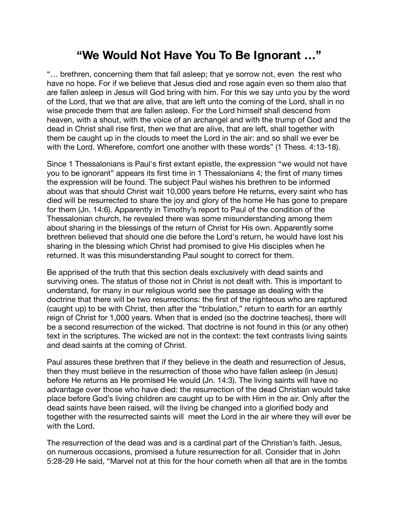## **"We Would Not Have You To Be Ignorant …"**

"… brethren, concerning them that fall asleep; that ye sorrow not, even the rest who have no hope. For if we believe that Jesus died and rose again even so them also that are fallen asleep in Jesus will God bring with him. For this we say unto you by the word of the Lord, that we that are alive, that are left unto the coming of the Lord, shall in no wise precede them that are fallen asleep. For the Lord himself shall descend from heaven, with a shout, with the voice of an archangel and with the trump of God and the dead in Christ shall rise first, then we that are alive, that are left, shall together with them be caught up in the clouds to meet the Lord in the air: and so shall we ever be with the Lord. Wherefore, comfort one another with these words" (1 Thess. 4:13-18).

Since 1 Thessalonians is Paul's first extant epistle, the expression "we would not have you to be ignorant" appears its first time in 1 Thessalonians 4; the first of many times the expression will be found. The subject Paul wishes his brethren to be informed about was that should Christ wait 10,000 years before He returns, every saint who has died will be resurrected to share the joy and glory of the home He has gone to prepare for them (Jn. 14:6). Apparently in Timothy's report to Paul of the condition of the Thessalonian church, he revealed there was some misunderstanding among them about sharing in the blessings of the return of Christ for His own. Apparently some brethren believed that should one die before the Lord's return, he would have lost his sharing in the blessing which Christ had promised to give His disciples when he returned. It was this misunderstanding Paul sought to correct for them.

Be apprised of the truth that this section deals exclusively with dead saints and surviving ones. The status of those not in Christ is not dealt with. This is important to understand, for many in our religious world see the passage as dealing with the doctrine that there will be two resurrections: the first of the righteous who are raptured (caught up) to be with Christ, then after the "tribulation," return to earth for an earthly reign of Christ for 1,000 years. When that is ended (so the doctrine teaches), there will be a second resurrection of the wicked. That doctrine is not found in this (or any other) text in the scriptures. The wicked are not in the context: the text contrasts living saints and dead saints at the coming of Christ.

Paul assures these brethren that if they believe in the death and resurrection of Jesus, then they must believe in the resurrection of those who have fallen asleep (in Jesus) before He returns as He promised He would (Jn. 14:3). The living saints will have no advantage over those who have died: the resurrection of the dead Christian would take place before God's living children are caught up to be with Him in the air. Only after the dead saints have been raised, will the living be changed into a glorified body and together with the resurrected saints will meet the Lord in the air where they will ever be with the Lord.

The resurrection of the dead was and is a cardinal part of the Christian's faith. Jesus, on numerous occasions, promised a future resurrection for all. Consider that in John 5:28-29 He said, "Marvel not at this for the hour cometh when all that are in the tombs